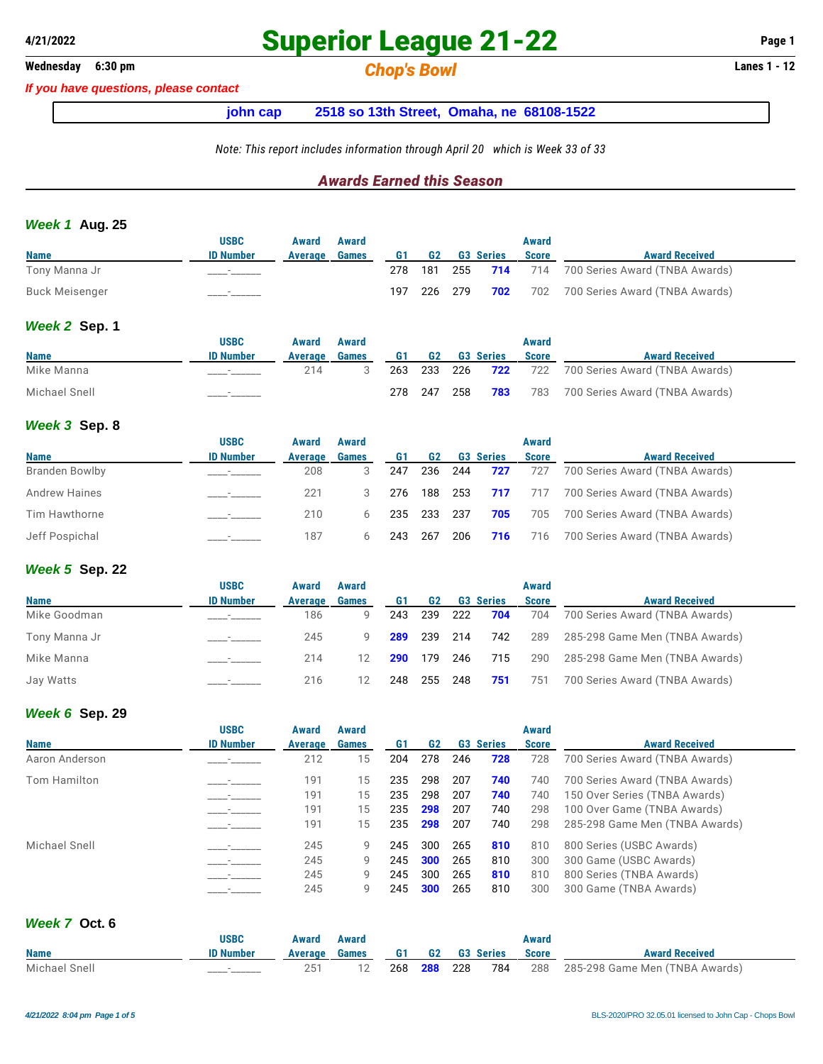## **Wednesday 6:30 pm** *Chop's Bowl* **Lanes 1 - 12**

*If you have questions, please contact*

### **john cap 2518 so 13th Street, Omaha, ne 68108-1522**

*Note: This report includes information through April 20 which is Week 33 of 33*

### *Awards Earned this Season*

#### *Week 1* **Aug. 25**

|                       | <b>USBC</b>              | Award   | Award |     |           |                  | Award        |                                                    |
|-----------------------|--------------------------|---------|-------|-----|-----------|------------------|--------------|----------------------------------------------------|
| <b>Name</b>           | <b>ID Number</b>         | Average | Games | G1  | <b>G2</b> | <b>G3 Series</b> | <b>Score</b> | <b>Award Received</b>                              |
| Tony Manna Jr         |                          |         |       |     |           |                  |              | 278 181 255 714 714 700 Series Award (TNBA Awards) |
| <b>Buck Meisenger</b> | $\overline{\phantom{a}}$ |         |       | 197 | 226 279   |                  |              | <b>702</b> 702 700 Series Award (TNBA Awards)      |

#### *Week 2* **Sep. 1**

|               | <b>USBC</b>              | Award   | Award |     |     |     |                    | Award        |                                    |
|---------------|--------------------------|---------|-------|-----|-----|-----|--------------------|--------------|------------------------------------|
| <b>Name</b>   | <b>ID Number</b>         | Average | Games | G1  | G2  |     | <b>G3 Series</b>   | <b>Score</b> | <b>Award Received</b>              |
| Mike Manna    | $\overline{\phantom{a}}$ | 214     |       | 263 |     |     | 233 226 <b>722</b> |              | 722 700 Series Award (TNBA Awards) |
| Michael Snell |                          |         |       | 278 | 247 | 258 | 783                | 783          | 700 Series Award (TNBA Awards)     |

#### *Week 3* **Sep. 8**

|                      | <b>USBC</b>      | Award   | Award        |     |                |         |                  | Award        |                                |
|----------------------|------------------|---------|--------------|-----|----------------|---------|------------------|--------------|--------------------------------|
| <b>Name</b>          | <b>ID Number</b> | Average | <b>Games</b> | G1  | G <sub>2</sub> |         | <b>G3 Series</b> | <b>Score</b> | <b>Award Received</b>          |
| Branden Bowlby       |                  | 208     |              | 247 |                | 236 244 | 727              | 727          | 700 Series Award (TNBA Awards) |
| <b>Andrew Haines</b> |                  | 221     |              | 276 |                |         | 188 253 717      | 717          | 700 Series Award (TNBA Awards) |
| Tim Hawthorne        |                  | 210     | 6            |     | 235 233 237    |         | 705              | 705          | 700 Series Award (TNBA Awards) |
| Jeff Pospichal       |                  | 187     |              | 243 | 267            | 206     | 716              | 716          | 700 Series Award (TNBA Awards) |

#### *Week 5* **Sep. 22**

|               | <b>USBC</b>      | Award   | Award             |     |                    |         |                  | Award        |                                |
|---------------|------------------|---------|-------------------|-----|--------------------|---------|------------------|--------------|--------------------------------|
| <b>Name</b>   | <b>ID Number</b> | Average | <b>Games</b>      | G1  | G <sub>2</sub>     |         | <b>G3 Series</b> | <b>Score</b> | <b>Award Received</b>          |
| Mike Goodman  |                  | 186     | 9                 | 243 | 239 222            |         | 704              | 704          | 700 Series Award (TNBA Awards) |
| Tony Manna Jr |                  | 245     |                   | 289 | 239 214            |         | 742              | 289          | 285-298 Game Men (TNBA Awards) |
| Mike Manna    |                  | 214     | $12 \overline{ }$ |     | <b>290</b> 179 246 |         | 715              | 290          | 285-298 Game Men (TNBA Awards) |
| Jay Watts     |                  | 216     |                   | 248 |                    | 255 248 | 751              | 751          | 700 Series Award (TNBA Awards) |

#### *Week 6* **Sep. 29**

| <b>Name</b>    | <b>USBC</b><br><b>ID Number</b> | Award<br>Average | Award<br><b>Games</b> | G1  | G <sub>2</sub> |     | <b>G3 Series</b> | Award<br><b>Score</b> | <b>Award Received</b>          |
|----------------|---------------------------------|------------------|-----------------------|-----|----------------|-----|------------------|-----------------------|--------------------------------|
| Aaron Anderson |                                 | 212              | 15                    | 204 | 278            | 246 | 728              | 728                   | 700 Series Award (TNBA Awards) |
| Tom Hamilton   |                                 | 191              | 15                    | 235 | 298            | 207 | 740              | 740                   | 700 Series Award (TNBA Awards) |
|                |                                 | 191              | 15                    | 235 | 298            | 207 | 740              | 740                   | 150 Over Series (TNBA Awards)  |
|                |                                 | 191              | 15                    | 235 | 298            | 207 | 740              | 298                   | 100 Over Game (TNBA Awards)    |
|                |                                 | 191              | 15                    | 235 | 298            | 207 | 740              | 298                   | 285-298 Game Men (TNBA Awards) |
| Michael Snell  |                                 | 245              | 9                     | 245 | 300            | 265 | 810              | 810                   | 800 Series (USBC Awards)       |
|                |                                 | 245              | 9                     | 245 | 300            | 265 | 810              | 300                   | 300 Game (USBC Awards)         |
|                |                                 | 245              | 9                     | 245 | 300            | 265 | 810              | 810                   | 800 Series (TNBA Awards)       |
|                |                                 | 245              | 9                     | 245 | 300            | 265 | 810              | 300                   | 300 Game (TNBA Awards)         |

### *Week 7* **Oct. 6**

|               | USBC             | Award | Award                               |  |  | Award |                                                                     |
|---------------|------------------|-------|-------------------------------------|--|--|-------|---------------------------------------------------------------------|
| <b>Name</b>   | <b>ID Number</b> |       | Average Games 61 G2 G3 Series Score |  |  |       | <b>Award Received</b>                                               |
| Michael Snell | _______          | 251   |                                     |  |  |       | 12   268   288   228   784   288   285-298   Game Men (TNBA Awards) |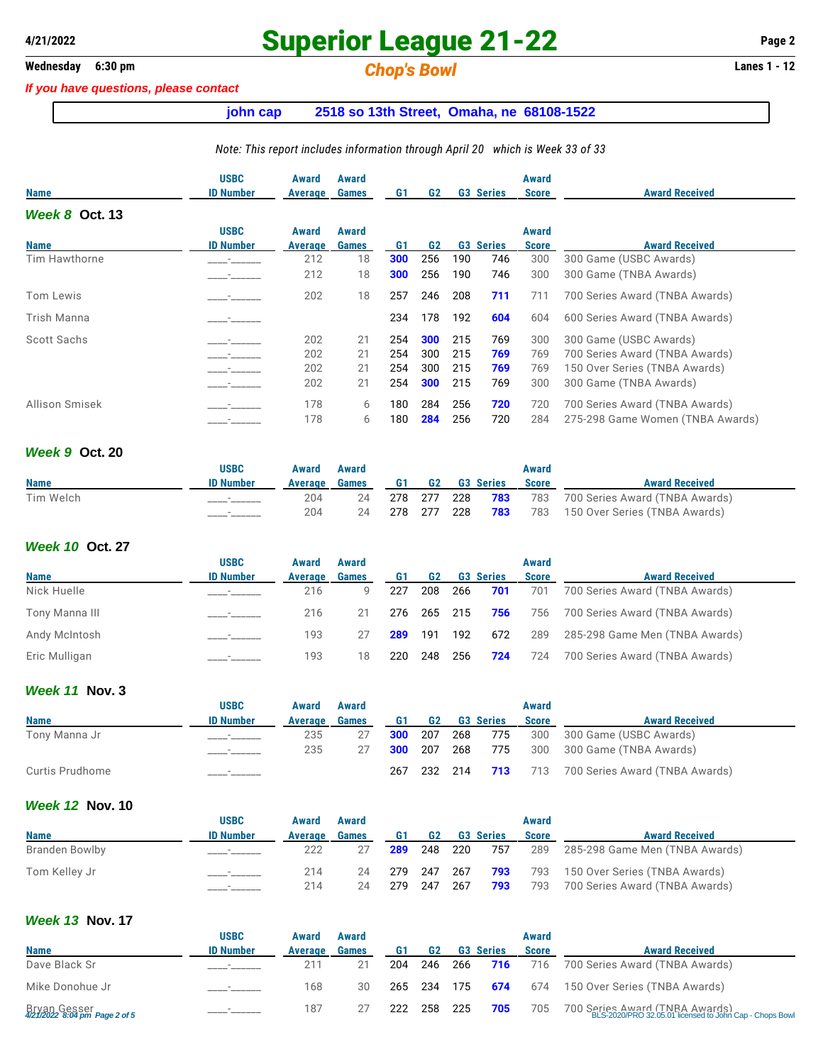## **Wednesday 6:30 pm** *Chop's Bowl* **Lanes 1 - 12**

*If you have questions, please contact*

## **john cap 2518 so 13th Street, Omaha, ne 68108-1522**

#### *Note: This report includes information through April 20 which is Week 33 of 33*

| <b>Name</b>      | <b>USBC</b><br><b>ID Number</b> | Award<br>Average | Award<br><b>Games</b> | G1  | G <sub>2</sub> |     | <b>G3 Series</b> | Award<br><b>Score</b> | <b>Award Received</b>            |
|------------------|---------------------------------|------------------|-----------------------|-----|----------------|-----|------------------|-----------------------|----------------------------------|
| Week $8$ Oct. 13 |                                 |                  |                       |     |                |     |                  |                       |                                  |
|                  | <b>USBC</b>                     | Award            | Award                 |     |                |     |                  | Award                 |                                  |
| <b>Name</b>      | <b>ID Number</b>                | Average          | <b>Games</b>          | G1  | G <sub>2</sub> |     | <b>G3 Series</b> | <b>Score</b>          | <b>Award Received</b>            |
| Tim Hawthorne    |                                 | 212              | 18                    | 300 | 256            | 190 | 746              | 300                   | 300 Game (USBC Awards)           |
|                  |                                 | 212              | 18                    | 300 | 256            | 190 | 746              | 300                   | 300 Game (TNBA Awards)           |
| Tom Lewis        |                                 | 202              | 18                    | 257 | 246            | 208 | 711              | 711                   | 700 Series Award (TNBA Awards)   |
| Trish Manna      |                                 |                  |                       | 234 | 178            | 192 | 604              | 604                   | 600 Series Award (TNBA Awards)   |
| Scott Sachs      |                                 | 202              | 21                    | 254 | 300            | 215 | 769              | 300                   | 300 Game (USBC Awards)           |
|                  |                                 | 202              | 21                    | 254 | 300            | 215 | 769              | 769                   | 700 Series Award (TNBA Awards)   |
|                  |                                 | 202              | 21                    | 254 | 300            | 215 | 769              | 769                   | 150 Over Series (TNBA Awards)    |
|                  |                                 | 202              | 21                    | 254 | 300            | 215 | 769              | 300                   | 300 Game (TNBA Awards)           |
| Allison Smisek   |                                 | 178              | 6                     | 180 | 284            | 256 | 720              | 720                   | 700 Series Award (TNBA Awards)   |
|                  |                                 | 178              | 6                     | 180 | 284            | 256 | 720              | 284                   | 275-298 Game Women (TNBA Awards) |

### *Week 9* **Oct. 20**

|             | USBC             | Award          | Award        |      |           |                  | Award |                                    |
|-------------|------------------|----------------|--------------|------|-----------|------------------|-------|------------------------------------|
| <b>Name</b> | <b>ID Number</b> | <b>Average</b> | <b>Games</b> | G1 – | <b>G2</b> | <b>G3 Series</b> | Score | <b>Award Received</b>              |
| Tim Welch   | _______          | 204            | 24           | 278  | 277       | 228 <b>783</b>   |       | 783 700 Series Award (TNBA Awards) |
|             |                  | 204            | 24           | 278  | 277       | 228 <b>783</b>   |       | 783 150 Over Series (TNBA Awards)  |

### *Week 10* **Oct. 27**

|                | <b>USBC</b>              | Award   | Award        |     |                    |         |                  | Award        |                                |
|----------------|--------------------------|---------|--------------|-----|--------------------|---------|------------------|--------------|--------------------------------|
| <b>Name</b>    | <b>ID Number</b>         | Average | <b>Games</b> | G1  | G2                 |         | <b>G3 Series</b> | <b>Score</b> | <b>Award Received</b>          |
| Nick Huelle    |                          | 216     | Q            | 227 | 208                | - 266   | 701              | 701          | 700 Series Award (TNBA Awards) |
| Tony Manna III |                          | 216     | 21           |     | 276 265 215        |         | 756              | 756          | 700 Series Award (TNBA Awards) |
| Andy McIntosh  | $\sim$                   | 193     |              |     | <b>289</b> 191 192 |         | 672              | 289          | 285-298 Game Men (TNBA Awards) |
| Eric Mulligan  | $\overline{\phantom{a}}$ | 193     | 18           | 220 |                    | 248 256 | 724              | 724          | 700 Series Award (TNBA Awards) |

### *Week 11* **Nov. 3**

|                 | <b>USBC</b>      | Award   | Award        |             |     |     |                  | Award        |                                                |
|-----------------|------------------|---------|--------------|-------------|-----|-----|------------------|--------------|------------------------------------------------|
| <b>Name</b>     | <b>ID Number</b> | Average | <b>Games</b> | G1          | G2  |     | <b>G3 Series</b> | <b>Score</b> | <b>Award Received</b>                          |
| Tony Manna Jr   | ________         | 235     | 27           | 300         | 207 | 268 | 775              |              | 300 300 Game (USBC Awards)                     |
|                 |                  | 235     | 27           | 300 207 268 |     |     | 775              |              | 300 300 Game (TNBA Awards)                     |
| Curtis Prudhome |                  |         |              | 267         |     |     |                  |              | 232 214 713 713 700 Series Award (TNBA Awards) |

#### *Week 12* **Nov. 10**

|                | <b>USBC</b>              | Award   | Award        |             |           |       |                  | Award        |                                              |
|----------------|--------------------------|---------|--------------|-------------|-----------|-------|------------------|--------------|----------------------------------------------|
| <b>Name</b>    | <b>ID Number</b>         | Average | <b>Games</b> | G1          | <b>G2</b> |       | <b>G3 Series</b> | <b>Score</b> | <b>Award Received</b>                        |
| Branden Bowlby | ___________              | 222     |              | 289         | 248       | 220   | 757              | 289          | 285-298 Game Men (TNBA Awards)               |
| Tom Kellev Jr  | $\overline{\phantom{a}}$ | 214     | 24           | 279 247 267 |           |       |                  |              | <b>793</b> 793 150 Over Series (TNBA Awards) |
|                |                          | 214     | 24           | 279         | 247       | - 267 | 793              | 793          | 700 Series Award (TNBA Awards)               |

### *Week 13* **Nov. 17**

|                                               | <b>USBC</b>      | Award          | Award        |     |                |       |                  | Award        |                                                                                           |
|-----------------------------------------------|------------------|----------------|--------------|-----|----------------|-------|------------------|--------------|-------------------------------------------------------------------------------------------|
| <b>Name</b>                                   | <b>ID Number</b> | <b>Average</b> | <b>Games</b> | G1  | G <sub>2</sub> |       | <b>G3 Series</b> | <b>Score</b> | <b>Award Received</b>                                                                     |
| Dave Black Sr                                 |                  | 211            |              | 204 | 246            | - 266 | 716              |              | 716 700 Series Award (TNBA Awards)                                                        |
| Mike Donohue Jr                               | $\sim$           | 168            | 30           | 265 | - 234          |       | 175 <b>674</b>   |              | 674 150 Over Series (TNBA Awards)                                                         |
| Bryan Gesser<br>4/21/2022 8:04 pm Page 2 of 5 |                  | 187            |              | 222 | 258 225        |       | 705              | 705          | 700 Series Award (TNRA Awards)<br>ELS-2020/PRO 32.05.01 licensed to John Cap - Chops Bowl |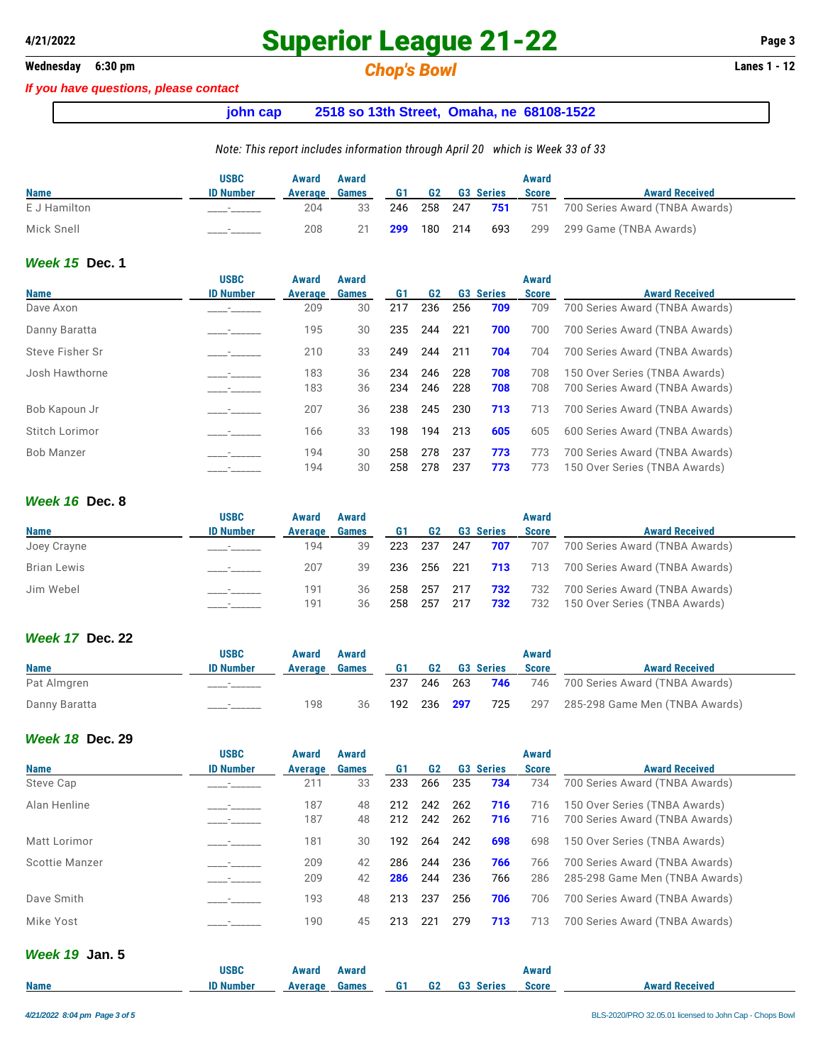## **Wednesday 6:30 pm** *Chop's Bowl* **Lanes 1 - 12**

#### *If you have questions, please contact*

### **john cap 2518 so 13th Street, Omaha, ne 68108-1522**

#### *Note: This report includes information through April 20 which is Week 33 of 33*

|              | <b>USBC</b>      | Award   | Award |     |         |                        | Award        |                                |
|--------------|------------------|---------|-------|-----|---------|------------------------|--------------|--------------------------------|
| <b>Name</b>  | <b>ID Number</b> | Average | Games | G1  | G2      | <b>G3 Series</b>       | <b>Score</b> | <b>Award Received</b>          |
| E J Hamilton |                  | 204     | 33    |     |         | 246 258 247 <b>751</b> | 751          | 700 Series Award (TNBA Awards) |
| Mick Snell   |                  | 208     | 21    | 299 | 180 214 |                        |              | 693 299 299 Game (TNBA Awards) |

#### *Week 15* **Dec. 1**

|                  | Award       | Award        |                |                |     |     |                  |                                |
|------------------|-------------|--------------|----------------|----------------|-----|-----|------------------|--------------------------------|
| <b>ID Number</b> | Average     | <b>Games</b> | G <sub>1</sub> | G <sub>2</sub> |     |     | <b>Score</b>     | <b>Award Received</b>          |
|                  | 209         | 30           | 217            | 236            | 256 | 709 | 709              | 700 Series Award (TNBA Awards) |
|                  | 195         | 30           | 235            | 244            | 221 | 700 | 700              | 700 Series Award (TNBA Awards) |
|                  | 210         | 33           | 249            | 244            | 211 | 704 | 704              | 700 Series Award (TNBA Awards) |
|                  | 183         | 36           | 234            | 246            | 228 | 708 | 708              | 150 Over Series (TNBA Awards)  |
|                  | 183         | 36           | 234            | 246            | 228 | 708 | 708              | 700 Series Award (TNBA Awards) |
|                  | 207         | 36           | 238            | 245            | 230 | 713 | 713              | 700 Series Award (TNBA Awards) |
|                  | 166         | 33           | 198            | 194            | 213 | 605 | 605              | 600 Series Award (TNBA Awards) |
|                  | 194         | 30           | 258            | 278            | 237 | 773 | 773              | 700 Series Award (TNBA Awards) |
|                  | 194         | 30           | 258            | 278            | 237 | 773 | 773              | 150 Over Series (TNBA Awards)  |
|                  | <b>USBC</b> |              |                |                |     |     | <b>G3 Series</b> | Award                          |

#### *Week 16* **Dec. 8**

|             | <b>USBC</b>      | Award      | Award        |            |                |     |                  | Award        |                                                                 |
|-------------|------------------|------------|--------------|------------|----------------|-----|------------------|--------------|-----------------------------------------------------------------|
| <b>Name</b> | <b>ID Number</b> | Average    | <b>Games</b> | G1         | <b>G2</b>      |     | <b>G3 Series</b> | <b>Score</b> | <b>Award Received</b>                                           |
| Joey Crayne |                  | 194        | 39           | 223        | 237            | 247 | 707              | 707          | 700 Series Award (TNBA Awards)                                  |
| Brian Lewis |                  | 207        | 39           | 236        | 256 221        |     | 713              |              | 713 700 Series Award (TNBA Awards)                              |
| Jim Webel   |                  | 191<br>191 | 36<br>36     | 258<br>258 | 257 217<br>257 | 217 | 732<br>732       | 732<br>732   | 700 Series Award (TNBA Awards)<br>150 Over Series (TNBA Awards) |

### *Week 17* **Dec. 22**

|               | <b>USBC</b>      | Award   | Award        |     |                |                  | Award        |                                                |
|---------------|------------------|---------|--------------|-----|----------------|------------------|--------------|------------------------------------------------|
| <b>Name</b>   | <b>ID Number</b> | Average | <b>Games</b> | G1  | G2             | <b>G3 Series</b> | <b>Score</b> | <b>Award Received</b>                          |
| Pat Almgren   |                  |         |              | 237 |                |                  |              | 246 263 746 746 700 Series Award (TNBA Awards) |
| Danny Baratta |                  | 198     | 36           | 192 | 236 <b>297</b> | 725              | 297          | 285-298 Game Men (TNBA Awards)                 |

#### *Week 18* **Dec. 29**

|                       | <b>USBC</b>      | Award   | Award        |     |                |     |                  | <b>Award</b> |                                |
|-----------------------|------------------|---------|--------------|-----|----------------|-----|------------------|--------------|--------------------------------|
| <b>Name</b>           | <b>ID Number</b> | Average | <b>Games</b> | G1  | G <sub>2</sub> |     | <b>G3 Series</b> | <b>Score</b> | <b>Award Received</b>          |
| Steve Cap             |                  | 211     | 33           | 233 | 266            | 235 | 734              | 734          | 700 Series Award (TNBA Awards) |
| Alan Henline          |                  | 187     | 48           | 212 | 242            | 262 | 716              | 716          | 150 Over Series (TNBA Awards)  |
|                       |                  | 187     | 48           | 212 | 242            | 262 | 716              | 716          | 700 Series Award (TNBA Awards) |
| Matt Lorimor          |                  | 181     | 30           | 192 | 264            | 242 | 698              | 698          | 150 Over Series (TNBA Awards)  |
| <b>Scottie Manzer</b> |                  | 209     | 42           | 286 | 244            | 236 | 766              | 766          | 700 Series Award (TNBA Awards) |
|                       |                  | 209     | 42           | 286 | 244            | 236 | 766              | 286          | 285-298 Game Men (TNBA Awards) |
| Dave Smith            |                  | 193     | 48           | 213 | 237            | 256 | 706              | 706          | 700 Series Award (TNBA Awards) |
| Mike Yost             |                  | 190     | 45           | 213 | 221            | 279 | 713              | 713          | 700 Series Award (TNBA Awards) |
| $M$ gak 10 $\mu$ n 5  |                  |         |              |     |                |     |                  |              |                                |

| T           |                  |         |       |           |           |                  |              |                       |
|-------------|------------------|---------|-------|-----------|-----------|------------------|--------------|-----------------------|
|             | USBC             | Award   | Award |           |           |                  | Award        |                       |
| <b>Name</b> | <b>ID Number</b> | Average | Games | <b>G1</b> | <b>G2</b> | <b>G3 Series</b> | <b>Score</b> | <b>Award Received</b> |
|             |                  |         |       |           |           |                  |              |                       |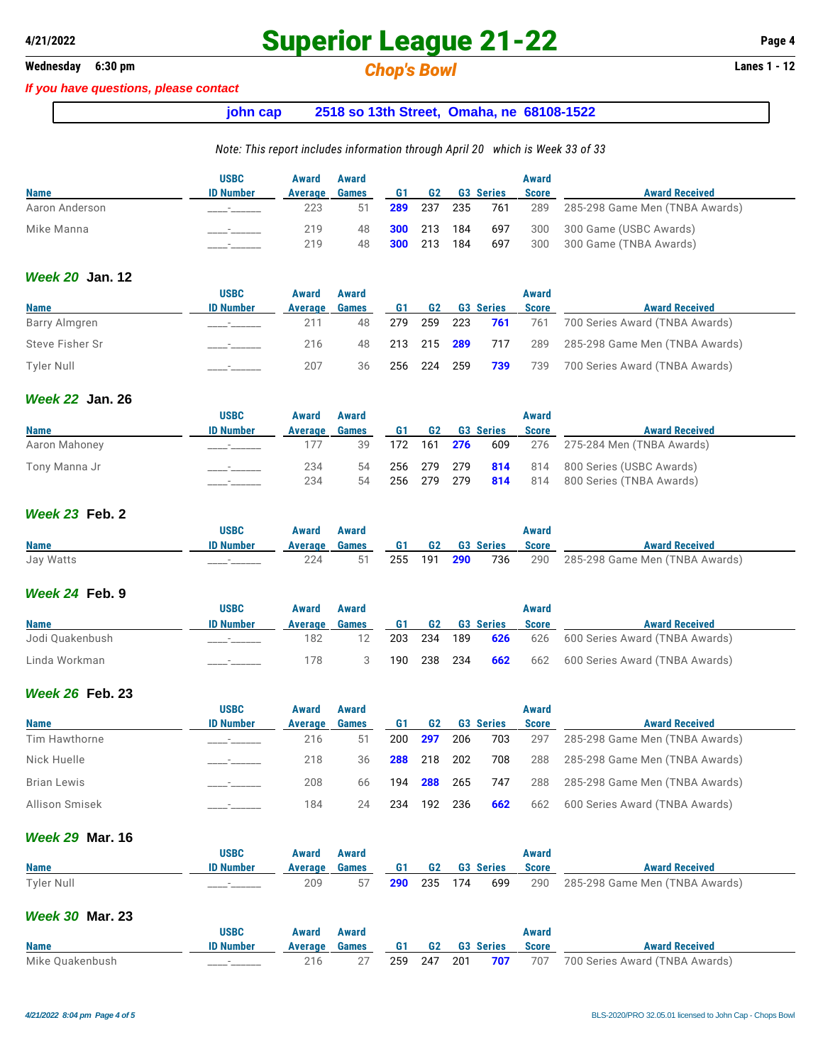## **Wednesday 6:30 pm** *Chop's Bowl* **Lanes 1 - 12**

#### *If you have questions, please contact*

### **john cap 2518 so 13th Street, Omaha, ne 68108-1522**

#### *Note: This report includes information through April 20 which is Week 33 of 33*

|                | <b>USBC</b>      | Award   | Award        |     |             |     |                  | Award        |                                |
|----------------|------------------|---------|--------------|-----|-------------|-----|------------------|--------------|--------------------------------|
| <b>Name</b>    | <b>ID Number</b> | Average | <b>Games</b> | G1  | G2          |     | <b>G3 Series</b> | <b>Score</b> | <b>Award Received</b>          |
| Aaron Anderson |                  | 223     | 51           | 289 | 237         | 235 | 761              | 289          | 285-298 Game Men (TNBA Awards) |
| Mike Manna     |                  | 219     | 48           |     | 300 213 184 |     | 697              | 300          | 300 Game (USBC Awards)         |
|                |                  | 219     | 48           | 300 | 213         | 184 | 697              | 300          | 300 Game (TNBA Awards)         |

#### *Week 20* **Jan. 12**

|                   | <b>USBC</b>              | Award   | Award        |     |             |     |                  | Award        |                                |
|-------------------|--------------------------|---------|--------------|-----|-------------|-----|------------------|--------------|--------------------------------|
| <b>Name</b>       | <b>ID Number</b>         | Average | <b>Games</b> | G1  | <b>G2</b>   |     | <b>G3 Series</b> | <b>Score</b> | <b>Award Received</b>          |
| Barry Almgren     |                          | 211     | 48           | 279 | 259         | 223 | 761              | 761          | 700 Series Award (TNBA Awards) |
| Steve Fisher Sr   | $\overline{\phantom{a}}$ | 216     | 48           |     |             |     | 213 215 289 717  | 289          | 285-298 Game Men (TNBA Awards) |
| <b>Tyler Null</b> |                          | 207     | 36           |     | 256 224 259 |     | 739              | 739          | 700 Series Award (TNBA Awards) |

### *Week 22* **Jan. 26**

|               | <b>USBC</b>      | <b>Award</b> | Award        |    |                     |                  | <b>Award</b> |                                                 |
|---------------|------------------|--------------|--------------|----|---------------------|------------------|--------------|-------------------------------------------------|
| <b>Name</b>   | <b>ID Number</b> | Average      | <b>Games</b> | G1 | G2                  | <b>G3 Series</b> | <b>Score</b> | <b>Award Received</b>                           |
| Aaron Mahoney |                  |              | 39           |    | 172  161 <b>276</b> | 609              |              | 276     275-284 Men (TNBA Awards)               |
| Tony Manna Jr |                  | 234          |              |    |                     |                  |              | 54 256 279 279 814 814 800 Series (USBC Awards) |
|               |                  | 234          | 54           |    | 256 279 279         |                  |              | <b>814</b> 814 800 Series (TNBA Awards)         |

#### *Week 23* **Feb. 2**

|             | <b>USBC</b>      | Award         | Award |                 |  | Award        |                                                    |
|-------------|------------------|---------------|-------|-----------------|--|--------------|----------------------------------------------------|
| <b>Name</b> | <b>ID Number</b> | Average Games |       | G1 G2 G3 Series |  | <b>Score</b> | <b>Award Received</b>                              |
| Jay Watts   |                  |               | 51    |                 |  |              | 255 191 290 736 290 285-298 Game Men (TNBA Awards) |

#### *Week 24* **Feb. 9**

|                 | <b>USBC</b>      | Award   | Award        |     |           |     |                  | Award        |                                                |
|-----------------|------------------|---------|--------------|-----|-----------|-----|------------------|--------------|------------------------------------------------|
| <b>Name</b>     | <b>ID Number</b> | Average | <b>Games</b> | G1. | <b>G2</b> |     | <b>G3 Series</b> | <b>Score</b> | <b>Award Received</b>                          |
| Jodi Quakenbush |                  | 182     |              | 203 | 234       | 189 | 626              |              | 626 600 Series Award (TNBA Awards)             |
| Linda Workman   |                  | 178     |              | 190 |           |     |                  |              | 238 234 662 662 600 Series Award (TNBA Awards) |

#### *Week 26* **Feb. 23**

|                    | <b>USBC</b>              | Award   | Award        |     |         |     |                  | Award        |                                |
|--------------------|--------------------------|---------|--------------|-----|---------|-----|------------------|--------------|--------------------------------|
| <b>Name</b>        | <b>ID Number</b>         | Average | <b>Games</b> | G1  | G2      |     | <b>G3 Series</b> | <b>Score</b> | <b>Award Received</b>          |
| Tim Hawthorne      |                          | 216     | 51           | 200 | 297     | 206 | 703              | 297          | 285-298 Game Men (TNBA Awards) |
| Nick Huelle        |                          | 218     | 36           | 288 | 218     | 202 | 708              | 288          | 285-298 Game Men (TNBA Awards) |
| <b>Brian Lewis</b> | $\overline{\phantom{a}}$ | 208     | 66           | 194 | 288     | 265 | 747              | 288          | 285-298 Game Men (TNBA Awards) |
| Allison Smisek     |                          | 184     | 24           | 234 | 192 236 |     | 662              | 662          | 600 Series Award (TNBA Awards) |

#### *Week 29* **Mar. 16**

|             | USBC             | Award         | Award |                    |  |                 | Award        |                                        |
|-------------|------------------|---------------|-------|--------------------|--|-----------------|--------------|----------------------------------------|
| <b>Name</b> | <b>ID Number</b> | Average Games |       |                    |  | G1 G2 G3 Series | <b>Score</b> | <b>Award Received</b>                  |
| Tyler Null  |                  | 209           |       | <b>290</b> 235 174 |  |                 |              | 699 290 285-298 Game Men (TNBA Awards) |

#### *Week 30* **Mar. 23**

|                 | <b>USBC</b>      | Award         | Award |  |                 | Award        |                                                    |
|-----------------|------------------|---------------|-------|--|-----------------|--------------|----------------------------------------------------|
| <b>Name</b>     | <b>ID Number</b> | Average Games |       |  | G1 G2 G3 Series | <b>Score</b> | <b>Award Received</b>                              |
| Mike Quakenbush |                  |               |       |  |                 |              | 259 247 201 707 707 700 Series Award (TNBA Awards) |